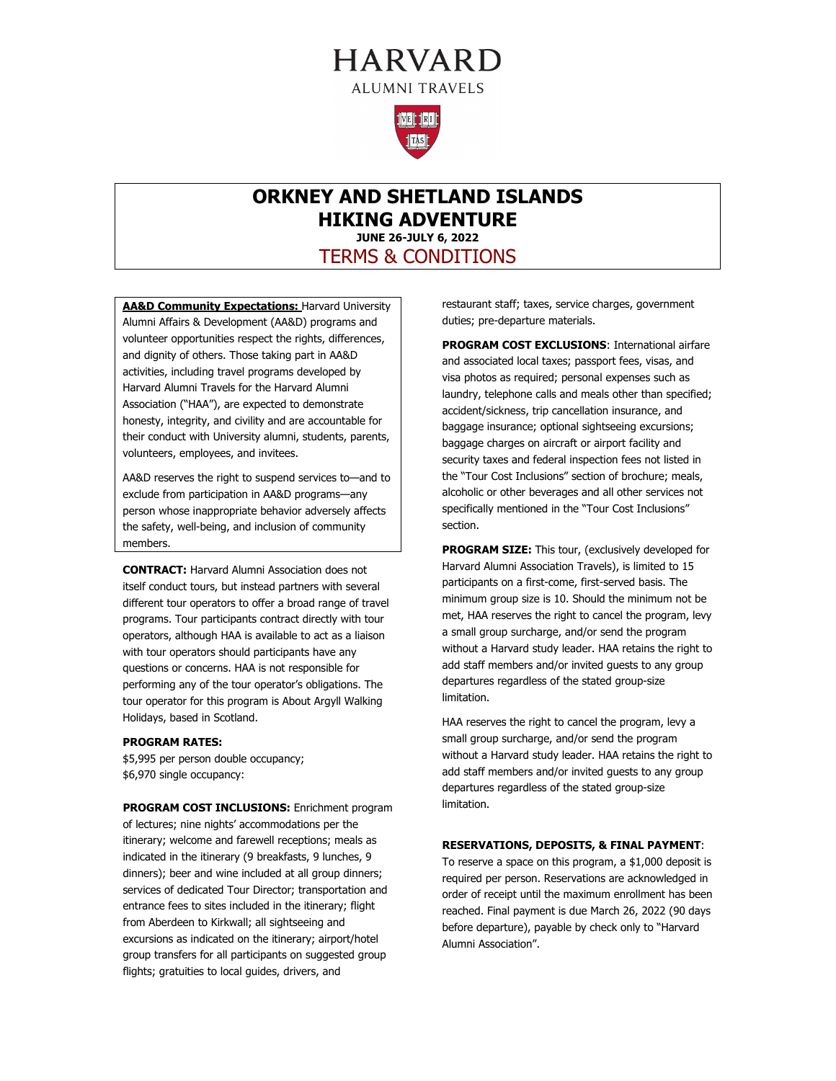# **HARVARD ALUMNI TRAVELS**



## **ORKNEY AND SHETLAND ISLANDS HIKING ADVENTURE JUNE 26-JULY 6, 2022** TERMS & CONDITIONS

**AA&D Community Expectations: Harvard University** Alumni Affairs & Development (AA&D) programs and volunteer opportunities respect the rights, differences, and dignity of others. Those taking part in AA&D activities, including travel programs developed by Harvard Alumni Travels for the Harvard Alumni Association ("HAA"), are expected to demonstrate honesty, integrity, and civility and are accountable for their conduct with University alumni, students, parents, volunteers, employees, and invitees.

AA&D reserves the right to suspend services to—and to exclude from participation in AA&D programs—any person whose inappropriate behavior adversely affects the safety, well-being, and inclusion of community members.

**CONTRACT:** Harvard Alumni Association does not itself conduct tours, but instead partners with several different tour operators to offer a broad range of travel programs. Tour participants contract directly with tour operators, although HAA is available to act as a liaison with tour operators should participants have any questions or concerns. HAA is not responsible for performing any of the tour operator's obligations. The tour operator for this program is About Argyll Walking Holidays, based in Scotland.

#### **PROGRAM RATES:**

\$5,995 per person double occupancy; \$6,970 single occupancy:

**PROGRAM COST INCLUSIONS:** Enrichment program of lectures; nine nights' accommodations per the itinerary; welcome and farewell receptions; meals as indicated in the itinerary (9 breakfasts, 9 lunches, 9 dinners); beer and wine included at all group dinners; services of dedicated Tour Director; transportation and entrance fees to sites included in the itinerary; flight from Aberdeen to Kirkwall; all sightseeing and excursions as indicated on the itinerary; airport/hotel group transfers for all participants on suggested group flights; gratuities to local guides, drivers, and

restaurant staff; taxes, service charges, government duties; pre-departure materials.

**PROGRAM COST EXCLUSIONS**: International airfare and associated local taxes; passport fees, visas, and visa photos as required; personal expenses such as laundry, telephone calls and meals other than specified; accident/sickness, trip cancellation insurance, and baggage insurance; optional sightseeing excursions; baggage charges on aircraft or airport facility and security taxes and federal inspection fees not listed in the "Tour Cost Inclusions" section of brochure; meals, alcoholic or other beverages and all other services not specifically mentioned in the "Tour Cost Inclusions" section.

**PROGRAM SIZE:** This tour, (exclusively developed for Harvard Alumni Association Travels), is limited to 15 participants on a first-come, first-served basis. The minimum group size is 10. Should the minimum not be met, HAA reserves the right to cancel the program, levy a small group surcharge, and/or send the program without a Harvard study leader. HAA retains the right to add staff members and/or invited guests to any group departures regardless of the stated group-size limitation.

HAA reserves the right to cancel the program, levy a small group surcharge, and/or send the program without a Harvard study leader. HAA retains the right to add staff members and/or invited guests to any group departures regardless of the stated group-size limitation.

#### **RESERVATIONS, DEPOSITS, & FINAL PAYMENT**:

To reserve a space on this program, a \$1,000 deposit is required per person. Reservations are acknowledged in order of receipt until the maximum enrollment has been reached. Final payment is due March 26, 2022 (90 days before departure), payable by check only to "Harvard Alumni Association".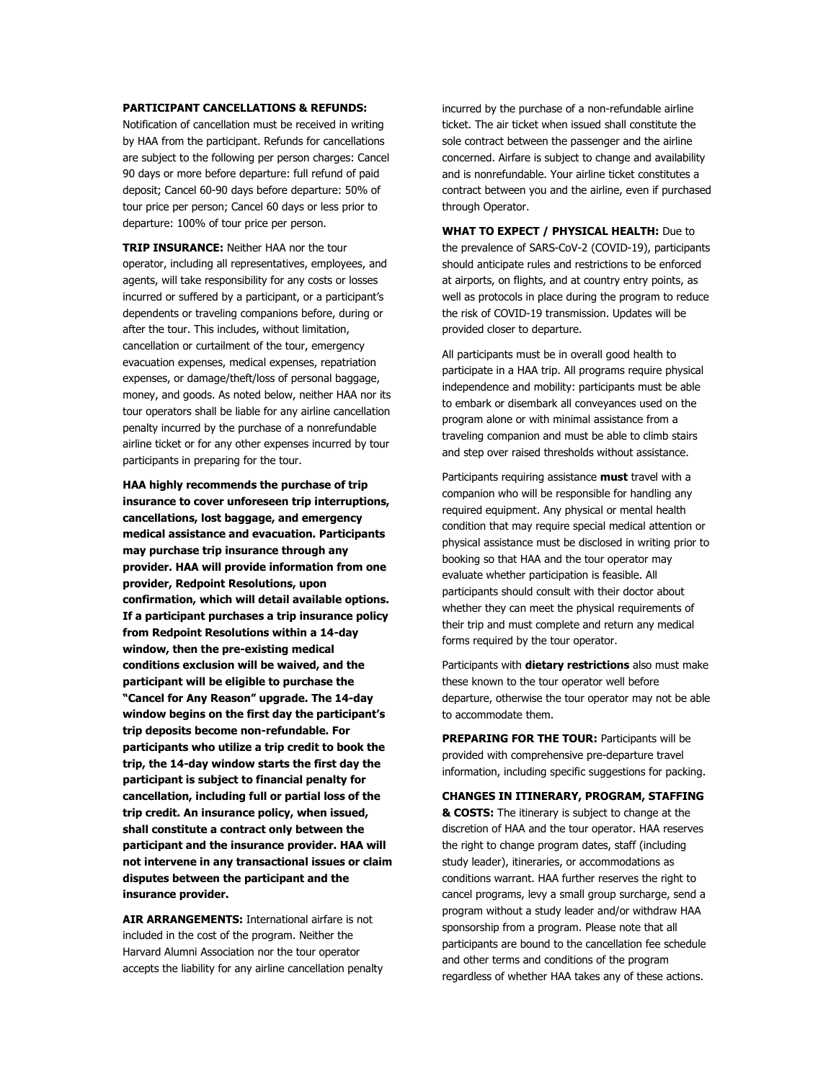#### **PARTICIPANT CANCELLATIONS & REFUNDS:**

Notification of cancellation must be received in writing by HAA from the participant. Refunds for cancellations are subject to the following per person charges: Cancel 90 days or more before departure: full refund of paid deposit; Cancel 60-90 days before departure: 50% of tour price per person; Cancel 60 days or less prior to departure: 100% of tour price per person.

**TRIP INSURANCE:** Neither HAA nor the tour operator, including all representatives, employees, and agents, will take responsibility for any costs or losses incurred or suffered by a participant, or a participant's dependents or traveling companions before, during or after the tour. This includes, without limitation, cancellation or curtailment of the tour, emergency evacuation expenses, medical expenses, repatriation expenses, or damage/theft/loss of personal baggage, money, and goods. As noted below, neither HAA nor its tour operators shall be liable for any airline cancellation penalty incurred by the purchase of a nonrefundable airline ticket or for any other expenses incurred by tour participants in preparing for the tour.

**HAA highly recommends the purchase of trip insurance to cover unforeseen trip interruptions, cancellations, lost baggage, and emergency medical assistance and evacuation. Participants may purchase trip insurance through any provider. HAA will provide information from one provider, Redpoint Resolutions, upon confirmation, which will detail available options. If a participant purchases a trip insurance policy from Redpoint Resolutions within a 14-day window, then the pre-existing medical conditions exclusion will be waived, and the participant will be eligible to purchase the "Cancel for Any Reason" upgrade. The 14-day window begins on the first day the participant's trip deposits become non-refundable. For participants who utilize a trip credit to book the trip, the 14-day window starts the first day the participant is subject to financial penalty for cancellation, including full or partial loss of the trip credit. An insurance policy, when issued, shall constitute a contract only between the participant and the insurance provider. HAA will not intervene in any transactional issues or claim disputes between the participant and the insurance provider.**

**AIR ARRANGEMENTS:** International airfare is not included in the cost of the program. Neither the Harvard Alumni Association nor the tour operator accepts the liability for any airline cancellation penalty incurred by the purchase of a non-refundable airline ticket. The air ticket when issued shall constitute the sole contract between the passenger and the airline concerned. Airfare is subject to change and availability and is nonrefundable. Your airline ticket constitutes a contract between you and the airline, even if purchased through Operator.

**WHAT TO EXPECT / PHYSICAL HEALTH:** Due to the prevalence of SARS-CoV-2 (COVID-19), participants should anticipate rules and restrictions to be enforced at airports, on flights, and at country entry points, as well as protocols in place during the program to reduce the risk of COVID-19 transmission. Updates will be provided closer to departure.

All participants must be in overall good health to participate in a HAA trip. All programs require physical independence and mobility: participants must be able to embark or disembark all conveyances used on the program alone or with minimal assistance from a traveling companion and must be able to climb stairs and step over raised thresholds without assistance.

Participants requiring assistance **must** travel with a companion who will be responsible for handling any required equipment. Any physical or mental health condition that may require special medical attention or physical assistance must be disclosed in writing prior to booking so that HAA and the tour operator may evaluate whether participation is feasible. All participants should consult with their doctor about whether they can meet the physical requirements of their trip and must complete and return any medical forms required by the tour operator.

Participants with **dietary restrictions** also must make these known to the tour operator well before departure, otherwise the tour operator may not be able to accommodate them.

**PREPARING FOR THE TOUR:** Participants will be provided with comprehensive pre-departure travel information, including specific suggestions for packing.

**CHANGES IN ITINERARY, PROGRAM, STAFFING & COSTS:** The itinerary is subject to change at the discretion of HAA and the tour operator. HAA reserves the right to change program dates, staff (including study leader), itineraries, or accommodations as conditions warrant. HAA further reserves the right to cancel programs, levy a small group surcharge, send a program without a study leader and/or withdraw HAA sponsorship from a program. Please note that all participants are bound to the cancellation fee schedule and other terms and conditions of the program regardless of whether HAA takes any of these actions.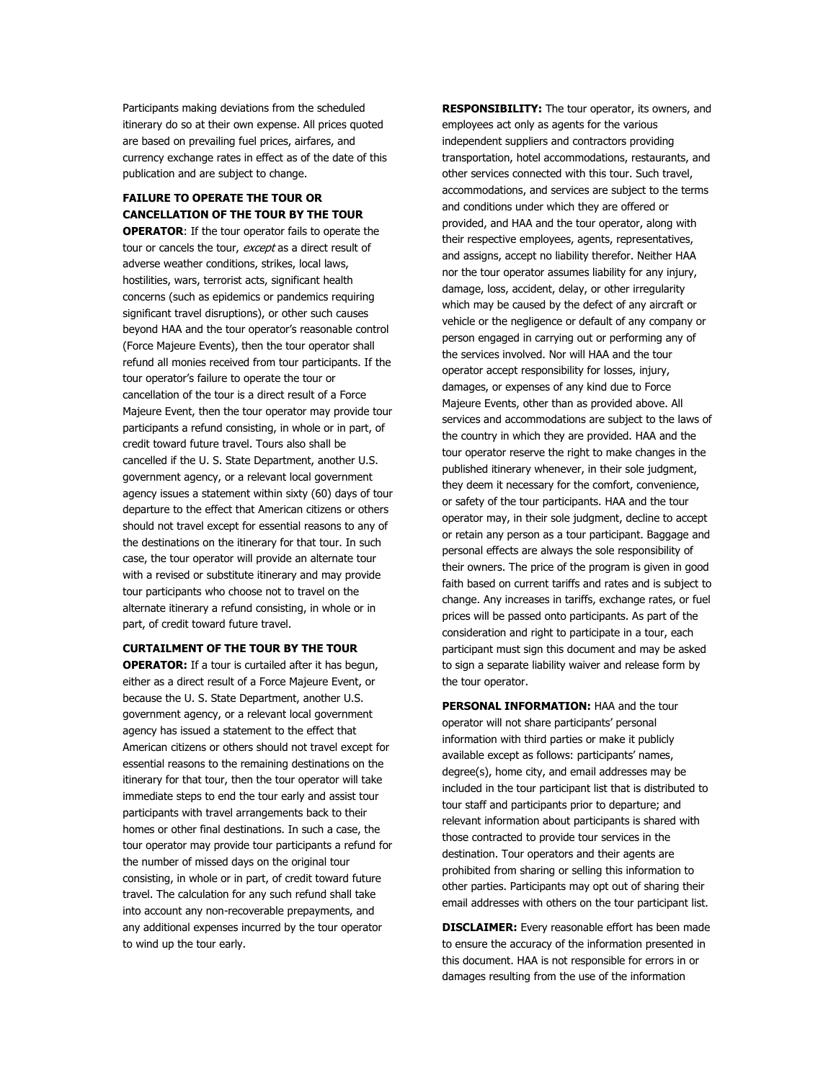Participants making deviations from the scheduled itinerary do so at their own expense. All prices quoted are based on prevailing fuel prices, airfares, and currency exchange rates in effect as of the date of this publication and are subject to change.

### **FAILURE TO OPERATE THE TOUR OR CANCELLATION OF THE TOUR BY THE TOUR**

**OPERATOR**: If the tour operator fails to operate the tour or cancels the tour, except as a direct result of adverse weather conditions, strikes, local laws, hostilities, wars, terrorist acts, significant health concerns (such as epidemics or pandemics requiring significant travel disruptions), or other such causes beyond HAA and the tour operator's reasonable control (Force Majeure Events), then the tour operator shall refund all monies received from tour participants. If the tour operator's failure to operate the tour or cancellation of the tour is a direct result of a Force Majeure Event, then the tour operator may provide tour participants a refund consisting, in whole or in part, of credit toward future travel. Tours also shall be cancelled if the U. S. State Department, another U.S. government agency, or a relevant local government agency issues a statement within sixty (60) days of tour departure to the effect that American citizens or others should not travel except for essential reasons to any of the destinations on the itinerary for that tour. In such case, the tour operator will provide an alternate tour with a revised or substitute itinerary and may provide tour participants who choose not to travel on the alternate itinerary a refund consisting, in whole or in part, of credit toward future travel.

#### **CURTAILMENT OF THE TOUR BY THE TOUR**

**OPERATOR:** If a tour is curtailed after it has begun, either as a direct result of a Force Majeure Event, or because the U. S. State Department, another U.S. government agency, or a relevant local government agency has issued a statement to the effect that American citizens or others should not travel except for essential reasons to the remaining destinations on the itinerary for that tour, then the tour operator will take immediate steps to end the tour early and assist tour participants with travel arrangements back to their homes or other final destinations. In such a case, the tour operator may provide tour participants a refund for the number of missed days on the original tour consisting, in whole or in part, of credit toward future travel. The calculation for any such refund shall take into account any non-recoverable prepayments, and any additional expenses incurred by the tour operator to wind up the tour early.

**RESPONSIBILITY:** The tour operator, its owners, and employees act only as agents for the various independent suppliers and contractors providing transportation, hotel accommodations, restaurants, and other services connected with this tour. Such travel, accommodations, and services are subject to the terms and conditions under which they are offered or provided, and HAA and the tour operator, along with their respective employees, agents, representatives, and assigns, accept no liability therefor. Neither HAA nor the tour operator assumes liability for any injury, damage, loss, accident, delay, or other irregularity which may be caused by the defect of any aircraft or vehicle or the negligence or default of any company or person engaged in carrying out or performing any of the services involved. Nor will HAA and the tour operator accept responsibility for losses, injury, damages, or expenses of any kind due to Force Majeure Events, other than as provided above. All services and accommodations are subject to the laws of the country in which they are provided. HAA and the tour operator reserve the right to make changes in the published itinerary whenever, in their sole judgment, they deem it necessary for the comfort, convenience, or safety of the tour participants. HAA and the tour operator may, in their sole judgment, decline to accept or retain any person as a tour participant. Baggage and personal effects are always the sole responsibility of their owners. The price of the program is given in good faith based on current tariffs and rates and is subject to change. Any increases in tariffs, exchange rates, or fuel prices will be passed onto participants. As part of the consideration and right to participate in a tour, each participant must sign this document and may be asked to sign a separate liability waiver and release form by the tour operator.

**PERSONAL INFORMATION:** HAA and the tour operator will not share participants' personal information with third parties or make it publicly available except as follows: participants' names, degree(s), home city, and email addresses may be included in the tour participant list that is distributed to tour staff and participants prior to departure; and relevant information about participants is shared with those contracted to provide tour services in the destination. Tour operators and their agents are prohibited from sharing or selling this information to other parties. Participants may opt out of sharing their email addresses with others on the tour participant list.

**DISCLAIMER:** Every reasonable effort has been made to ensure the accuracy of the information presented in this document. HAA is not responsible for errors in or damages resulting from the use of the information